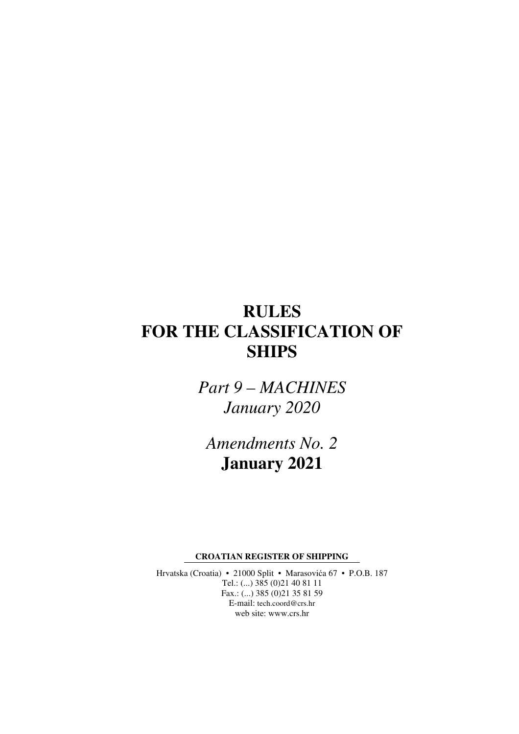# **RULES FOR THE CLASSIFICATION OF SHIPS**

*Part 9 – MACHINES January 2020* 

*Amendments No. 2*  **January 2021** 

**CROATIAN REGISTER OF SHIPPING** 

Hrvatska (Croatia) • 21000 Split • Marasovića 67 • P.O.B. 187 Tel.: (...) 385 (0)21 40 81 11 Fax.: (...) 385 (0)21 35 81 59 E-mail: tech.coord@crs.hr web site: www.crs.hr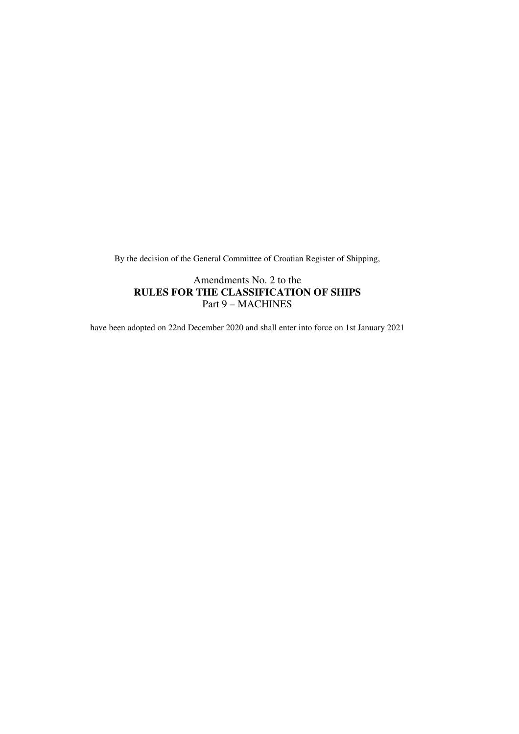By the decision of the General Committee of Croatian Register of Shipping,

### Amendments No. 2 to the **RULES FOR THE CLASSIFICATION OF SHIPS**  Part 9 – MACHINES

have been adopted on 22nd December 2020 and shall enter into force on 1st January 2021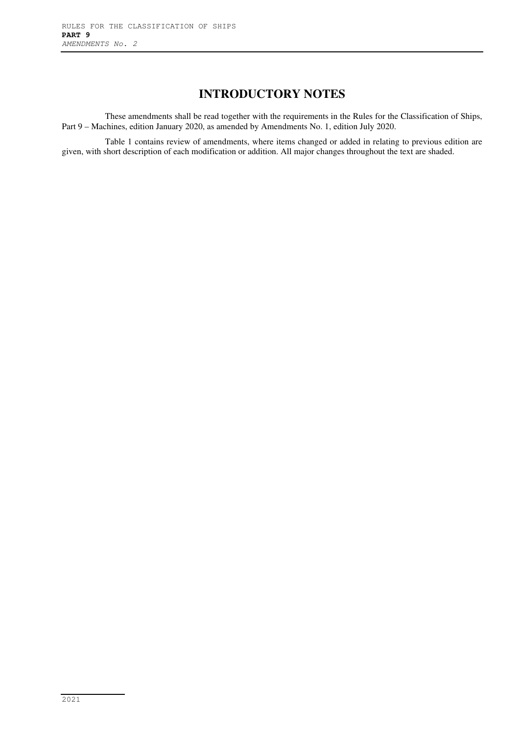# **INTRODUCTORY NOTES**

These amendments shall be read together with the requirements in the Rules for the Classification of Ships, Part 9 – Machines, edition January 2020, as amended by Amendments No. 1, edition July 2020.

Table 1 contains review of amendments, where items changed or added in relating to previous edition are given, with short description of each modification or addition. All major changes throughout the text are shaded.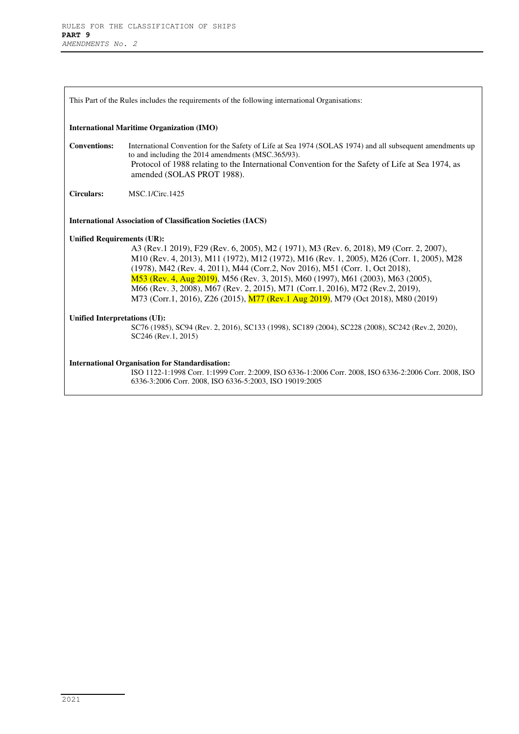| This Part of the Rules includes the requirements of the following international Organisations:                                                                                                                              |                                                                                                                                                                                                                                                                                                                                                                                                                                                                                                                                |  |
|-----------------------------------------------------------------------------------------------------------------------------------------------------------------------------------------------------------------------------|--------------------------------------------------------------------------------------------------------------------------------------------------------------------------------------------------------------------------------------------------------------------------------------------------------------------------------------------------------------------------------------------------------------------------------------------------------------------------------------------------------------------------------|--|
| <b>International Maritime Organization (IMO)</b>                                                                                                                                                                            |                                                                                                                                                                                                                                                                                                                                                                                                                                                                                                                                |  |
| <b>Conventions:</b>                                                                                                                                                                                                         | International Convention for the Safety of Life at Sea 1974 (SOLAS 1974) and all subsequent amendments up<br>to and including the 2014 amendments (MSC.365/93).<br>Protocol of 1988 relating to the International Convention for the Safety of Life at Sea 1974, as<br>amended (SOLAS PROT 1988).                                                                                                                                                                                                                              |  |
| <b>Circulars:</b>                                                                                                                                                                                                           | MSC.1/Circ.1425                                                                                                                                                                                                                                                                                                                                                                                                                                                                                                                |  |
| <b>International Association of Classification Societies (IACS)</b>                                                                                                                                                         |                                                                                                                                                                                                                                                                                                                                                                                                                                                                                                                                |  |
| <b>Unified Requirements (UR):</b>                                                                                                                                                                                           |                                                                                                                                                                                                                                                                                                                                                                                                                                                                                                                                |  |
|                                                                                                                                                                                                                             | A3 (Rev. 1 2019), F29 (Rev. 6, 2005), M2 (1971), M3 (Rev. 6, 2018), M9 (Corr. 2, 2007),<br>M10 (Rev. 4, 2013), M11 (1972), M12 (1972), M16 (Rev. 1, 2005), M26 (Corr. 1, 2005), M28<br>(1978), M42 (Rev. 4, 2011), M44 (Corr.2, Nov 2016), M51 (Corr. 1, Oct 2018),<br>M53 (Rev. 4, Aug 2019), M56 (Rev. 3, 2015), M60 (1997), M61 (2003), M63 (2005),<br>M66 (Rev. 3, 2008), M67 (Rev. 2, 2015), M71 (Corr. 1, 2016), M72 (Rev. 2, 2019),<br>M73 (Corr.1, 2016), Z26 (2015), M77 (Rev.1 Aug 2019), M79 (Oct 2018), M80 (2019) |  |
| Unified Interpretations (UI):                                                                                                                                                                                               |                                                                                                                                                                                                                                                                                                                                                                                                                                                                                                                                |  |
|                                                                                                                                                                                                                             | SC76 (1985), SC94 (Rev. 2, 2016), SC133 (1998), SC189 (2004), SC228 (2008), SC242 (Rev. 2, 2020),<br>SC246 (Rev.1, 2015)                                                                                                                                                                                                                                                                                                                                                                                                       |  |
| <b>International Organisation for Standardisation:</b><br>ISO 1122-1:1998 Corr. 1:1999 Corr. 2:2009, ISO 6336-1:2006 Corr. 2008, ISO 6336-2:2006 Corr. 2008, ISO<br>6336-3:2006 Corr. 2008, ISO 6336-5:2003, ISO 19019:2005 |                                                                                                                                                                                                                                                                                                                                                                                                                                                                                                                                |  |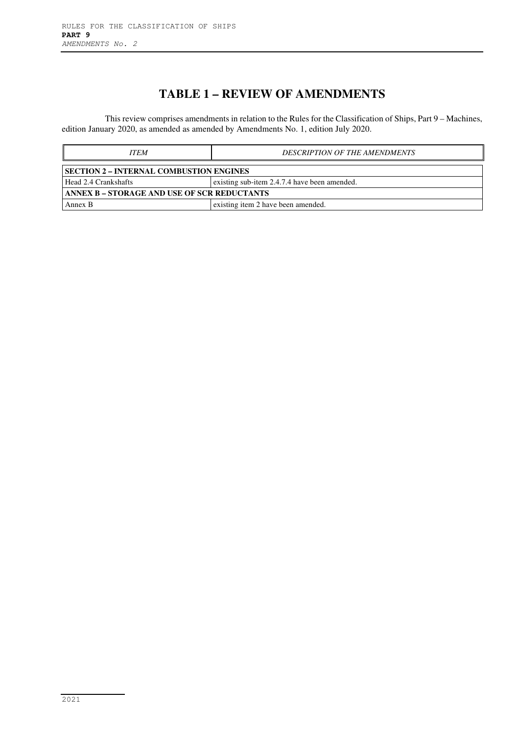# **TABLE 1 – REVIEW OF AMENDMENTS**

This review comprises amendments in relation to the Rules for the Classification of Ships, Part 9 – Machines, edition January 2020, as amended as amended by Amendments No. 1, edition July 2020.

| <b>ITEM</b>                                        | <b>DESCRIPTION OF THE AMENDMENTS</b>         |  |  |
|----------------------------------------------------|----------------------------------------------|--|--|
| SECTION 2 – INTERNAL COMBUSTION ENGINES            |                                              |  |  |
| Head 2.4 Crankshafts                               | existing sub-item 2.4.7.4 have been amended. |  |  |
| <b>ANNEX B - STORAGE AND USE OF SCR REDUCTANTS</b> |                                              |  |  |
| Annex B                                            | existing item 2 have been amended.           |  |  |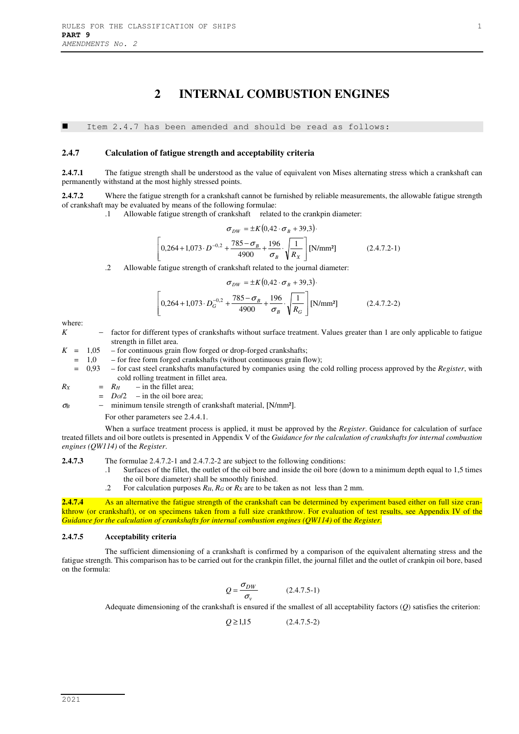# **2 INTERNAL COMBUSTION ENGINES**

Item 2.4.7 has been amended and should be read as follows:

#### **2.4.7 Calculation of fatigue strength and acceptability criteria**

**2.4.7.1** The fatigue strength shall be understood as the value of equivalent von Mises alternating stress which a crankshaft can permanently withstand at the most highly stressed points.

**2.4.7.2** Where the fatigue strength for a crankshaft cannot be furnished by reliable measurements, the allowable fatigue strength of crankshaft may be evaluated by means of the following formulae:

.1 Allowable fatigue strength of crankshaft related to the crankpin diameter:

$$
\sigma_{DW} = \pm K (0.42 \cdot \sigma_B + 39.3)
$$
  

$$
\left[ 0.264 + 1.073 \cdot D^{-0.2} + \frac{785 - \sigma_B}{4900} + \frac{196}{\sigma_B} \cdot \sqrt{\frac{1}{R_X}} \right] [N/mm^2]
$$
 (2.4.7.2-1)

.2 Allowable fatigue strength of crankshaft related to the journal diameter:

$$
\sigma_{DW} = \pm K (0.42 \cdot \sigma_B + 39.3)
$$
  

$$
\left[ 0.264 + 1.073 \cdot D_G^{-0.2} + \frac{785 - \sigma_B}{4900} + \frac{196}{\sigma_B} \cdot \sqrt{\frac{1}{R_G}} \right] \text{[N/mm²]}
$$
 (2.4.7.2-2)

where:

*K* − factor for different types of crankshafts without surface treatment. Values greater than 1 are only applicable to fatigue strength in fillet area.

 $K = 1.05$  – for continuous grain flow forged or drop-forged crankshafts;

 $= 1,0$  – for free form forged crankshafts (without continuous grain flow);

 = 0,93 – for cast steel crankshafts manufactured by companies using the cold rolling process approved by the *Register*, with cold rolling treatment in fillet area.

 $R_X$  =  $R_H$  – in the fillet area;

 $=$  *D<sub>O</sub>*/2 – in the oil bore area;

<sup>σ</sup>*<sup>B</sup>* − minimum tensile strength of crankshaft material, [N/mm²].

For other parameters see 2.4.4.1.

When a surface treatment process is applied, it must be approved by the *Register*. Guidance for calculation of surface treated fillets and oil bore outlets is presented in Appendix V of the *Guidance for the calculation of crankshafts for internal combustion engines (QW114)* of the *Register*.

**2.4.7.3** The formulae 2.4.7.2-1 and 2.4.7.2-2 are subject to the following conditions:

- .1 Surfaces of the fillet, the outlet of the oil bore and inside the oil bore (down to a minimum depth equal to 1,5 times the oil bore diameter) shall be smoothly finished.
	- .2 For calculation purposes *RH*, *RG* or *RX* are to be taken as not less than 2 mm.

**2.4.7.4** As an alternative the fatigue strength of the crankshaft can be determined by experiment based either on full size crankthrow (or crankshaft), or on specimens taken from a full size crankthrow. For evaluation of test results, see Appendix IV of the *Guidance for the calculation of crankshafts for internal combustion engines (QW114)* of the *Register*.

#### **2.4.7.5 Acceptability criteria**

The sufficient dimensioning of a crankshaft is confirmed by a comparison of the equivalent alternating stress and the fatigue strength. This comparison has to be carried out for the crankpin fillet, the journal fillet and the outlet of crankpin oil bore, based on the formula:

$$
Q = \frac{\sigma_{DW}}{\sigma_v} \tag{2.4.7.5-1}
$$

Adequate dimensioning of the crankshaft is ensured if the smallest of all acceptability factors (*Q*) satisfies the criterion:

 $Q \ge 1.15$  (2.4.7.5-2)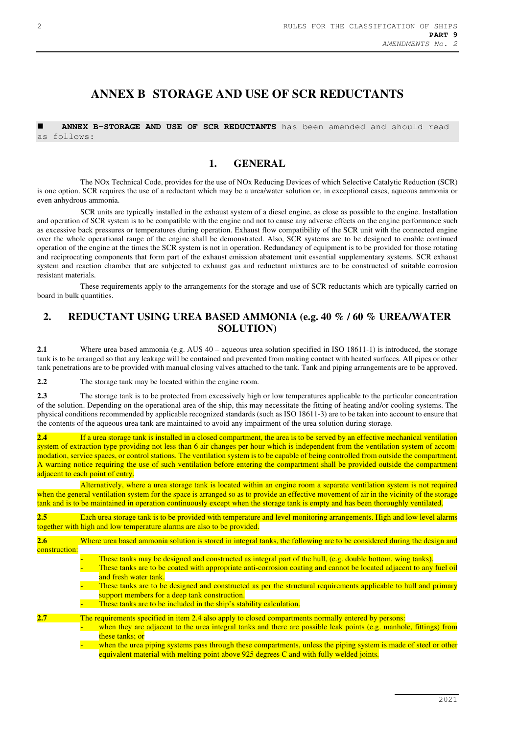# **ANNEX B STORAGE AND USE OF SCR REDUCTANTS**

 **ANNEX B-STORAGE AND USE OF SCR REDUCTANTS** has been amended and should read as follows:

### **1. GENERAL**

The NOx Technical Code, provides for the use of NOx Reducing Devices of which Selective Catalytic Reduction (SCR) is one option. SCR requires the use of a reductant which may be a urea/water solution or, in exceptional cases, aqueous ammonia or even anhydrous ammonia.

SCR units are typically installed in the exhaust system of a diesel engine, as close as possible to the engine. Installation and operation of SCR system is to be compatible with the engine and not to cause any adverse effects on the engine performance such as excessive back pressures or temperatures during operation. Exhaust flow compatibility of the SCR unit with the connected engine over the whole operational range of the engine shall be demonstrated. Also, SCR systems are to be designed to enable continued operation of the engine at the times the SCR system is not in operation. Redundancy of equipment is to be provided for those rotating and reciprocating components that form part of the exhaust emission abatement unit essential supplementary systems. SCR exhaust system and reaction chamber that are subjected to exhaust gas and reductant mixtures are to be constructed of suitable corrosion resistant materials.

These requirements apply to the arrangements for the storage and use of SCR reductants which are typically carried on board in bulk quantities.

### **2. REDUCTANT USING UREA BASED AMMONIA (e.g. 40 % / 60 % UREA/WATER SOLUTION)**

**2.1** Where urea based ammonia (e.g. AUS 40 – aqueous urea solution specified in ISO 18611-1) is introduced, the storage tank is to be arranged so that any leakage will be contained and prevented from making contact with heated surfaces. All pipes or other tank penetrations are to be provided with manual closing valves attached to the tank. Tank and piping arrangements are to be approved.

**2.2** The storage tank may be located within the engine room.

**2.3** The storage tank is to be protected from excessively high or low temperatures applicable to the particular concentration of the solution. Depending on the operational area of the ship, this may necessitate the fitting of heating and/or cooling systems. The physical conditions recommended by applicable recognized standards (such as ISO 18611-3) are to be taken into account to ensure that the contents of the aqueous urea tank are maintained to avoid any impairment of the urea solution during storage.

**2.4** If a urea storage tank is installed in a closed compartment, the area is to be served by an effective mechanical ventilation system of extraction type providing not less than 6 air changes per hour which is independent from the ventilation system of accommodation, service spaces, or control stations. The ventilation system is to be capable of being controlled from outside the compartment. A warning notice requiring the use of such ventilation before entering the compartment shall be provided outside the compartment adjacent to each point of entry.

Alternatively, where a urea storage tank is located within an engine room a separate ventilation system is not required when the general ventilation system for the space is arranged so as to provide an effective movement of air in the vicinity of the storage tank and is to be maintained in operation continuously except when the storage tank is empty and has been thoroughly ventilated.

**2.5** Each urea storage tank is to be provided with temperature and level monitoring arrangements. High and low level alarms together with high and low temperature alarms are also to be provided.

| 2.6           | Where urea based ammonia solution is stored in integral tanks, the following are to be considered during the design and                                                                                                                                                                                                                                                                                                                                                                                 |
|---------------|---------------------------------------------------------------------------------------------------------------------------------------------------------------------------------------------------------------------------------------------------------------------------------------------------------------------------------------------------------------------------------------------------------------------------------------------------------------------------------------------------------|
| construction: |                                                                                                                                                                                                                                                                                                                                                                                                                                                                                                         |
|               | These tanks may be designed and constructed as integral part of the hull, (e.g. double bottom, wing tanks).<br>These tanks are to be coated with appropriate anti-corrosion coating and cannot be located adjacent to any fuel oil<br>and fresh water tank.<br>These tanks are to be designed and constructed as per the structural requirements applicable to hull and primary<br>support members for a deep tank construction.<br>These tanks are to be included in the ship's stability calculation. |
| 2.7           | The requirements specified in item 2.4 also apply to closed compartments normally entered by persons:                                                                                                                                                                                                                                                                                                                                                                                                   |
|               | when they are adjacent to the urea integral tanks and there are possible leak points (e.g. manhole, fittings) from<br>these tanks; or<br>when the urea piping systems pass through these compartments, unless the piping system is made of steel or other<br>equivalent material with melting point above 925 degrees C and with fully welded joints.                                                                                                                                                   |